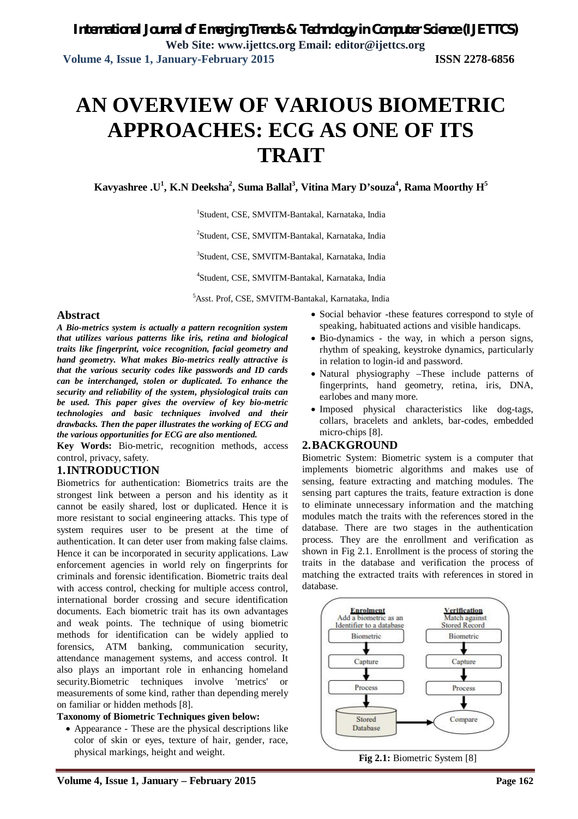# **AN OVERVIEW OF VARIOUS BIOMETRIC APPROACHES: ECG AS ONE OF ITS TRAIT**

**Kavyashree .U<sup>1</sup> , K.N Deeksha<sup>2</sup> , Suma Ballal<sup>3</sup> , Vitina Mary D'souza<sup>4</sup> , Rama Moorthy H<sup>5</sup>**

1 Student, CSE, SMVITM-Bantakal, Karnataka, India

2 Student, CSE, SMVITM-Bantakal, Karnataka, India

3 Student, CSE, SMVITM-Bantakal, Karnataka, India

4 Student, CSE, SMVITM-Bantakal, Karnataka, India

<sup>5</sup>Asst. Prof, CSE, SMVITM-Bantakal, Karnataka, India

#### **Abstract**

*A Bio-metrics system is actually a pattern recognition system that utilizes various patterns like iris, retina and biological traits like fingerprint, voice recognition, facial geometry and hand geometry. What makes Bio-metrics really attractive is that the various security codes like passwords and ID cards can be interchanged, stolen or duplicated. To enhance the security and reliability of the system, physiological traits can be used. This paper gives the overview of key bio-metric technologies and basic techniques involved and their drawbacks. Then the paper illustrates the working of ECG and the various opportunities for ECG are also mentioned.*

**Key Words:** Bio-metric, recognition methods, access control, privacy, safety.

#### **1.INTRODUCTION**

Biometrics for authentication: Biometrics traits are the strongest link between a person and his identity as it cannot be easily shared, lost or duplicated. Hence it is more resistant to social engineering attacks. This type of system requires user to be present at the time of authentication. It can deter user from making false claims. Hence it can be incorporated in security applications. Law enforcement agencies in world rely on fingerprints for criminals and forensic identification. Biometric traits deal with access control, checking for multiple access control, international border crossing and secure identification documents. Each biometric trait has its own advantages and weak points. The technique of using biometric methods for identification can be widely applied to forensics, ATM banking, communication security, attendance management systems, and access control. It also plays an important role in enhancing homeland security.Biometric techniques involve 'metrics' or measurements of some kind, rather than depending merely on familiar or hidden methods [8].

#### **Taxonomy of Biometric Techniques given below:**

 Appearance - These are the physical descriptions like color of skin or eyes, texture of hair, gender, race, physical markings, height and weight.

- Social behavior -these features correspond to style of speaking, habituated actions and visible handicaps.
- Bio-dynamics the way, in which a person signs, rhythm of speaking, keystroke dynamics, particularly in relation to login-id and password.
- Natural physiography –These include patterns of fingerprints, hand geometry, retina, iris, DNA, earlobes and many more.
- Imposed physical characteristics like dog-tags, collars, bracelets and anklets, bar-codes, embedded micro-chips [8].

#### **2.BACKGROUND**

Biometric System: Biometric system is a computer that implements biometric algorithms and makes use of sensing, feature extracting and matching modules. The sensing part captures the traits, feature extraction is done to eliminate unnecessary information and the matching modules match the traits with the references stored in the database. There are two stages in the authentication process. They are the enrollment and verification as shown in Fig 2.1. Enrollment is the process of storing the traits in the database and verification the process of matching the extracted traits with references in stored in database.

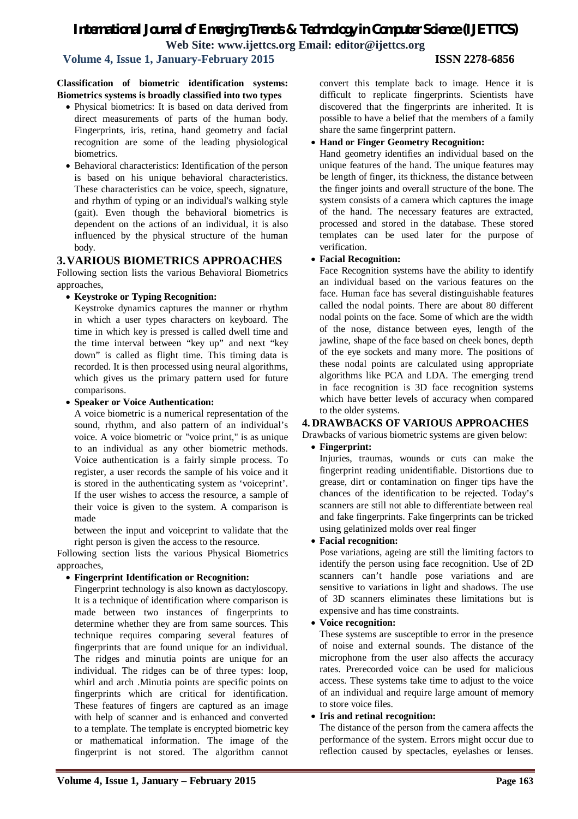# *International Journal of Emerging Trends & Technology in Computer Science (IJETTCS)*

**Web Site: www.ijettcs.org Email: editor@ijettcs.org** 

#### **Volume 4, Issue 1, January-February 2015 ISSN 2278-6856**

#### **Classification of biometric identification systems: Biometrics systems is broadly classified into two types**

- Physical biometrics: It is based on data derived from direct measurements of parts of the human body. Fingerprints, iris, retina, hand geometry and facial recognition are some of the leading physiological biometrics.
- Behavioral characteristics: Identification of the person is based on his unique behavioral characteristics. These characteristics can be voice, speech, signature, and rhythm of typing or an individual's walking style (gait). Even though the behavioral biometrics is dependent on the actions of an individual, it is also influenced by the physical structure of the human body.

### **3.VARIOUS BIOMETRICS APPROACHES**

Following section lists the various Behavioral Biometrics approaches,

#### **Keystroke or Typing Recognition:**

Keystroke dynamics captures the manner or rhythm in which a user types characters on keyboard. The time in which key is pressed is called dwell time and the time interval between "key up" and next "key down" is called as flight time. This timing data is recorded. It is then processed using neural algorithms, which gives us the primary pattern used for future comparisons.

#### **Speaker or Voice Authentication:**

A voice biometric is a numerical representation of the sound, rhythm, and also pattern of an individual's voice. A voice biometric or "voice print," is as unique to an individual as any other biometric methods. Voice authentication is a fairly simple process. To register, a user records the sample of his voice and it is stored in the authenticating system as 'voiceprint'. If the user wishes to access the resource, a sample of their voice is given to the system. A comparison is made

between the input and voiceprint to validate that the right person is given the access to the resource.

Following section lists the various Physical Biometrics approaches,

#### **Fingerprint Identification or Recognition:**

Fingerprint technology is also known as dactyloscopy. It is a technique of identification where comparison is made between two instances of fingerprints to determine whether they are from same sources. This technique requires comparing several features of fingerprints that are found unique for an individual. The ridges and minutia points are unique for an individual. The ridges can be of three types: loop, whirl and arch .Minutia points are specific points on fingerprints which are critical for identification. These features of fingers are captured as an image with help of scanner and is enhanced and converted to a template. The template is encrypted biometric key or mathematical information. The image of the fingerprint is not stored. The algorithm cannot

convert this template back to image. Hence it is difficult to replicate fingerprints. Scientists have discovered that the fingerprints are inherited. It is possible to have a belief that the members of a family share the same fingerprint pattern.

#### **Hand or Finger Geometry Recognition:**

Hand geometry identifies an individual based on the unique features of the hand. The unique features may be length of finger, its thickness, the distance between the finger joints and overall structure of the bone. The system consists of a camera which captures the image of the hand. The necessary features are extracted, processed and stored in the database. These stored templates can be used later for the purpose of verification.

#### **Facial Recognition:**

Face Recognition systems have the ability to identify an individual based on the various features on the face. Human face has several distinguishable features called the nodal points. There are about 80 different nodal points on the face. Some of which are the width of the nose, distance between eyes, length of the jawline, shape of the face based on cheek bones, depth of the eye sockets and many more. The positions of these nodal points are calculated using appropriate algorithms like PCA and LDA. The emerging trend in face recognition is 3D face recognition systems which have better levels of accuracy when compared to the older systems.

#### **4. DRAWBACKS OF VARIOUS APPROACHES**

Drawbacks of various biometric systems are given below:

**Fingerprint:** 

Injuries, traumas, wounds or cuts can make the fingerprint reading unidentifiable. Distortions due to grease, dirt or contamination on finger tips have the chances of the identification to be rejected. Today's scanners are still not able to differentiate between real and fake fingerprints. Fake fingerprints can be tricked using gelatinized molds over real finger

#### **Facial recognition:**

Pose variations, ageing are still the limiting factors to identify the person using face recognition. Use of 2D scanners can't handle pose variations and are sensitive to variations in light and shadows. The use of 3D scanners eliminates these limitations but is expensive and has time constraints.

#### **Voice recognition:**

These systems are susceptible to error in the presence of noise and external sounds. The distance of the microphone from the user also affects the accuracy rates. Prerecorded voice can be used for malicious access. These systems take time to adjust to the voice of an individual and require large amount of memory to store voice files.

#### **Iris and retinal recognition:**

The distance of the person from the camera affects the performance of the system. Errors might occur due to reflection caused by spectacles, eyelashes or lenses.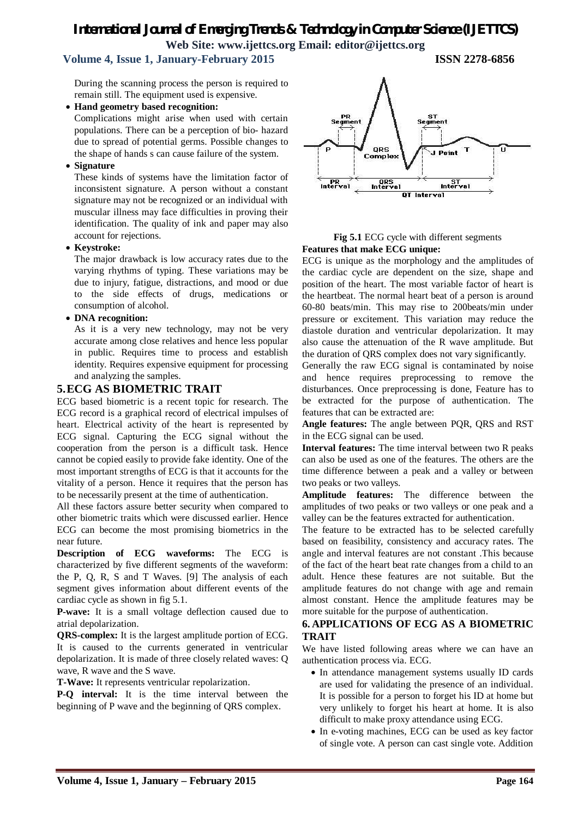# *International Journal of Emerging Trends & Technology in Computer Science (IJETTCS)* **Web Site: www.ijettcs.org Email: editor@ijettcs.org**

### **Volume 4, Issue 1, January-February 2015 ISSN 2278-6856**

During the scanning process the person is required to remain still. The equipment used is expensive.

**Hand geometry based recognition:** 

Complications might arise when used with certain populations. There can be a perception of bio- hazard due to spread of potential germs. Possible changes to the shape of hands s can cause failure of the system.

#### **Signature**

These kinds of systems have the limitation factor of inconsistent signature. A person without a constant signature may not be recognized or an individual with muscular illness may face difficulties in proving their identification. The quality of ink and paper may also account for rejections.

#### **Keystroke:**

The major drawback is low accuracy rates due to the varying rhythms of typing. These variations may be due to injury, fatigue, distractions, and mood or due to the side effects of drugs, medications or consumption of alcohol.

#### **DNA recognition:**

As it is a very new technology, may not be very accurate among close relatives and hence less popular in public. Requires time to process and establish identity. Requires expensive equipment for processing and analyzing the samples.

#### **5.ECG AS BIOMETRIC TRAIT**

ECG based biometric is a recent topic for research. The ECG record is a graphical record of electrical impulses of heart. Electrical activity of the heart is represented by ECG signal. Capturing the ECG signal without the cooperation from the person is a difficult task. Hence cannot be copied easily to provide fake identity. One of the most important strengths of ECG is that it accounts for the vitality of a person. Hence it requires that the person has to be necessarily present at the time of authentication.

All these factors assure better security when compared to other biometric traits which were discussed earlier. Hence ECG can become the most promising biometrics in the near future.

**Description of ECG waveforms:** The ECG is characterized by five different segments of the waveform: the P, Q, R, S and T Waves. [9] The analysis of each segment gives information about different events of the cardiac cycle as shown in fig 5.1.

**P-wave:** It is a small voltage deflection caused due to atrial depolarization.

**QRS-complex:** It is the largest amplitude portion of ECG. It is caused to the currents generated in ventricular depolarization. It is made of three closely related waves: Q wave, R wave and the S wave.

**T-Wave:** It represents ventricular repolarization.

**P-Q interval:** It is the time interval between the beginning of P wave and the beginning of QRS complex.



#### **Fig 5.1** ECG cycle with different segments **Features that make ECG unique:**

ECG is unique as the morphology and the amplitudes of the cardiac cycle are dependent on the size, shape and position of the heart. The most variable factor of heart is the heartbeat. The normal heart beat of a person is around 60-80 beats/min. This may rise to 200beats/min under pressure or excitement. This variation may reduce the diastole duration and ventricular depolarization. It may also cause the attenuation of the R wave amplitude. But the duration of QRS complex does not vary significantly.

Generally the raw ECG signal is contaminated by noise and hence requires preprocessing to remove the disturbances. Once preprocessing is done, Feature has to be extracted for the purpose of authentication. The features that can be extracted are:

**Angle features:** The angle between PQR, QRS and RST in the ECG signal can be used.

**Interval features:** The time interval between two R peaks can also be used as one of the features. The others are the time difference between a peak and a valley or between two peaks or two valleys.

**Amplitude features:** The difference between the amplitudes of two peaks or two valleys or one peak and a valley can be the features extracted for authentication.

The feature to be extracted has to be selected carefully based on feasibility, consistency and accuracy rates. The angle and interval features are not constant .This because of the fact of the heart beat rate changes from a child to an adult. Hence these features are not suitable. But the amplitude features do not change with age and remain almost constant. Hence the amplitude features may be more suitable for the purpose of authentication.

### **6. APPLICATIONS OF ECG AS A BIOMETRIC TRAIT**

We have listed following areas where we can have an authentication process via. ECG.

- In attendance management systems usually ID cards are used for validating the presence of an individual. It is possible for a person to forget his ID at home but very unlikely to forget his heart at home. It is also difficult to make proxy attendance using ECG.
- In e-voting machines, ECG can be used as key factor of single vote. A person can cast single vote. Addition